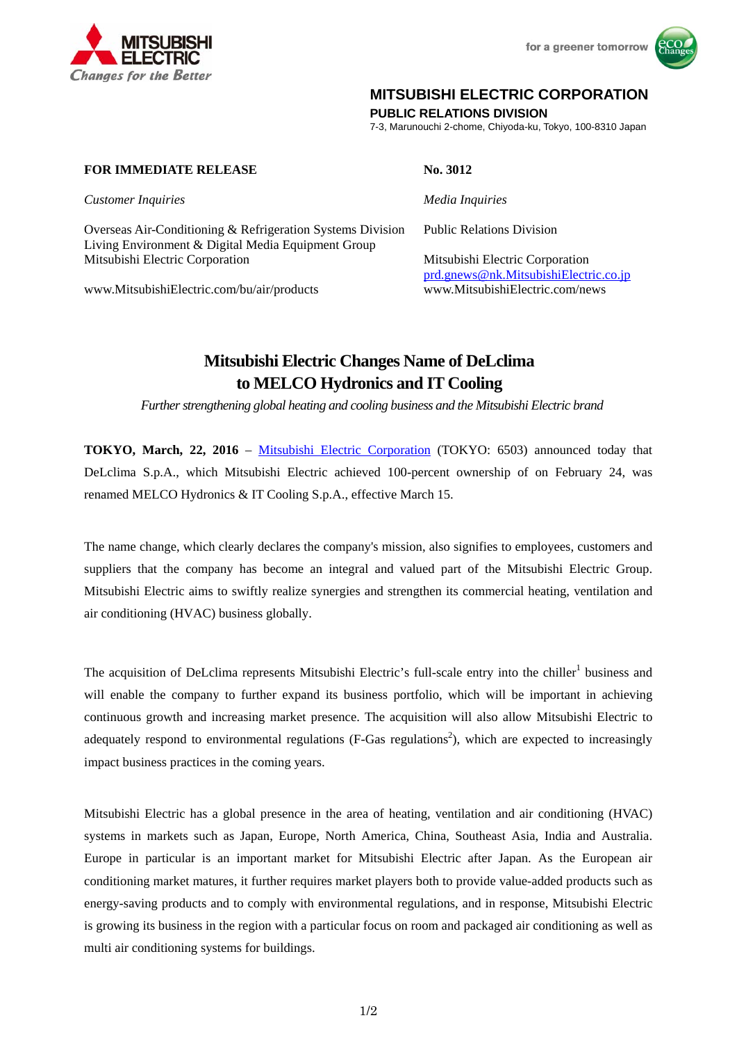

for a greener tomorrow



## **MITSUBISHI ELECTRIC CORPORATION**

**PUBLIC RELATIONS DIVISION** 

7-3, Marunouchi 2-chome, Chiyoda-ku, Tokyo, 100-8310 Japan

## **FOR IMMEDIATE RELEASE No. 3012**

*Customer Inquiries Media Inquiries* 

Overseas Air-Conditioning & Refrigeration Systems Division Public Relations Division Living Environment & Digital Media Equipment Group Mitsubishi Electric Corporation Mitsubishi Electric Corporation

www.MitsubishiElectric.com/bu/air/products www.MitsubishiElectric.com/news

prd.gnews@nk.MitsubishiElectric.co.jp

# **Mitsubishi Electric Changes Name of DeLclima to MELCO Hydronics and IT Cooling**

 *Further strengthening global heating and cooling business and the Mitsubishi Electric brand* 

**TOKYO, March, 22, 2016** – Mitsubishi Electric Corporation (TOKYO: 6503) announced today that DeLclima S.p.A., which Mitsubishi Electric achieved 100-percent ownership of on February 24, was renamed MELCO Hydronics & IT Cooling S.p.A., effective March 15.

The name change, which clearly declares the company's mission, also signifies to employees, customers and suppliers that the company has become an integral and valued part of the Mitsubishi Electric Group. Mitsubishi Electric aims to swiftly realize synergies and strengthen its commercial heating, ventilation and air conditioning (HVAC) business globally.

The acquisition of DeLclima represents Mitsubishi Electric's full-scale entry into the chiller<sup>1</sup> business and will enable the company to further expand its business portfolio, which will be important in achieving continuous growth and increasing market presence. The acquisition will also allow Mitsubishi Electric to adequately respond to environmental regulations (F-Gas regulations<sup>2</sup>), which are expected to increasingly impact business practices in the coming years.

Mitsubishi Electric has a global presence in the area of heating, ventilation and air conditioning (HVAC) systems in markets such as Japan, Europe, North America, China, Southeast Asia, India and Australia. Europe in particular is an important market for Mitsubishi Electric after Japan. As the European air conditioning market matures, it further requires market players both to provide value-added products such as energy-saving products and to comply with environmental regulations, and in response, Mitsubishi Electric is growing its business in the region with a particular focus on room and packaged air conditioning as well as multi air conditioning systems for buildings.